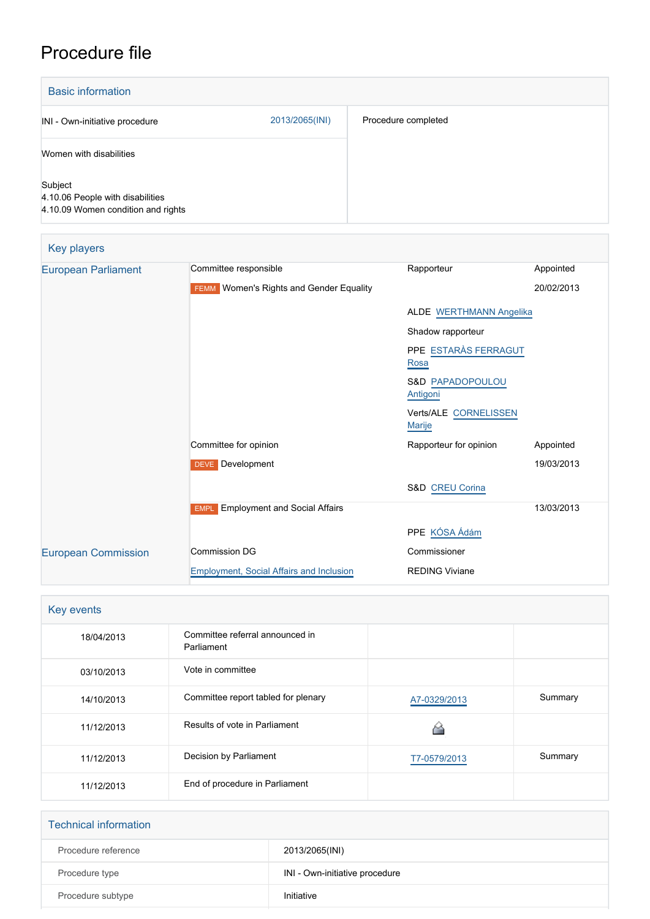## Procedure file

| <b>Basic information</b>                                                          |                |                     |
|-----------------------------------------------------------------------------------|----------------|---------------------|
| INI - Own-initiative procedure                                                    | 2013/2065(INI) | Procedure completed |
| Women with disabilities                                                           |                |                     |
| Subject<br>4.10.06 People with disabilities<br>4.10.09 Women condition and rights |                |                     |

| Key players                |                                                     |                                         |            |
|----------------------------|-----------------------------------------------------|-----------------------------------------|------------|
| <b>European Parliament</b> | Committee responsible                               | Rapporteur                              | Appointed  |
|                            | Women's Rights and Gender Equality<br><b>FEMM</b>   |                                         | 20/02/2013 |
|                            |                                                     | <b>ALDE WERTHMANN Angelika</b>          |            |
|                            |                                                     | Shadow rapporteur                       |            |
|                            |                                                     | PPE ESTARÀS FERRAGUT<br>Rosa            |            |
|                            |                                                     | <b>S&amp;D PAPADOPOULOU</b><br>Antigoni |            |
|                            |                                                     | Verts/ALE CORNELISSEN<br><b>Marije</b>  |            |
|                            | Committee for opinion                               | Rapporteur for opinion                  | Appointed  |
|                            | <b>DEVE</b> Development                             |                                         | 19/03/2013 |
|                            |                                                     | S&D CREU Corina                         |            |
|                            | <b>Employment and Social Affairs</b><br><b>EMPL</b> |                                         | 13/03/2013 |
|                            |                                                     | PPE KÓSA Ádám                           |            |
| <b>European Commission</b> | <b>Commission DG</b>                                | Commissioner                            |            |
|                            | Employment, Social Affairs and Inclusion            | <b>REDING Viviane</b>                   |            |

| Key events |                                               |              |         |
|------------|-----------------------------------------------|--------------|---------|
| 18/04/2013 | Committee referral announced in<br>Parliament |              |         |
| 03/10/2013 | Vote in committee                             |              |         |
| 14/10/2013 | Committee report tabled for plenary           | A7-0329/2013 | Summary |
| 11/12/2013 | Results of vote in Parliament                 |              |         |
| 11/12/2013 | Decision by Parliament                        | T7-0579/2013 | Summary |
| 11/12/2013 | End of procedure in Parliament                |              |         |

| <b>Technical information</b> |                                |
|------------------------------|--------------------------------|
| Procedure reference          | 2013/2065(INI)                 |
| Procedure type               | INI - Own-initiative procedure |
| Procedure subtype            | Initiative                     |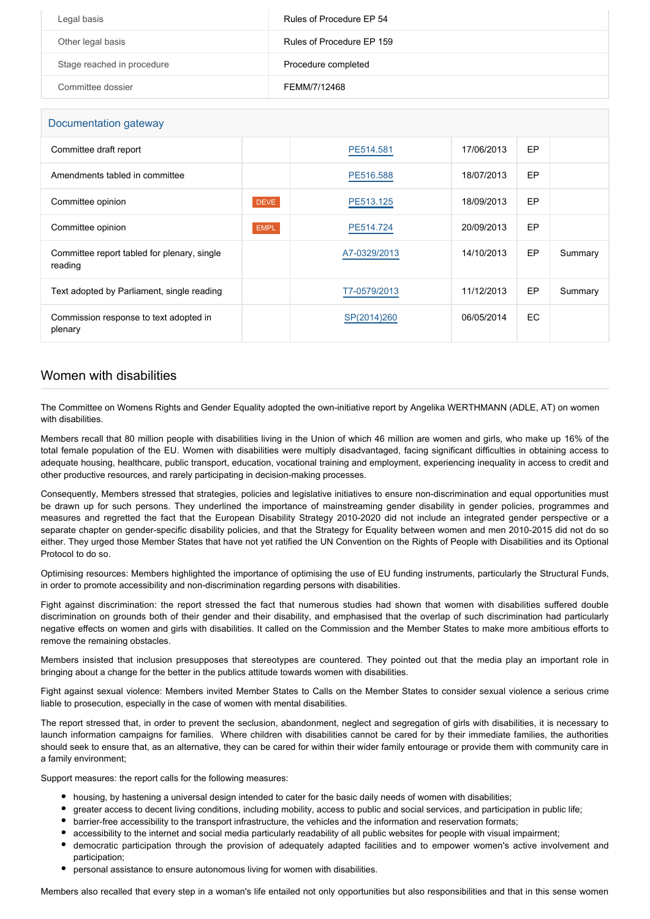| Legal basis                | Rules of Procedure EP 54  |
|----------------------------|---------------------------|
| Other legal basis          | Rules of Procedure EP 159 |
| Stage reached in procedure | Procedure completed       |
| Committee dossier          | FEMM/7/12468              |

| Documentation gateway                                  |             |              |            |     |         |
|--------------------------------------------------------|-------------|--------------|------------|-----|---------|
| Committee draft report                                 |             | PE514.581    | 17/06/2013 | EP  |         |
| Amendments tabled in committee                         |             | PE516.588    | 18/07/2013 | EP  |         |
| Committee opinion                                      | <b>DEVE</b> | PE513.125    | 18/09/2013 | EP  |         |
| Committee opinion                                      | <b>EMPL</b> | PE514.724    | 20/09/2013 | EP  |         |
| Committee report tabled for plenary, single<br>reading |             | A7-0329/2013 | 14/10/2013 | EP  | Summary |
| Text adopted by Parliament, single reading             |             | T7-0579/2013 | 11/12/2013 | EP  | Summary |
| Commission response to text adopted in<br>plenary      |             | SP(2014)260  | 06/05/2014 | EC. |         |

## Women with disabilities

The Committee on Womens Rights and Gender Equality adopted the own-initiative report by Angelika WERTHMANN (ADLE, AT) on women with disabilities.

Members recall that 80 million people with disabilities living in the Union of which 46 million are women and girls, who make up 16% of the total female population of the EU. Women with disabilities were multiply disadvantaged, facing significant difficulties in obtaining access to adequate housing, healthcare, public transport, education, vocational training and employment, experiencing inequality in access to credit and other productive resources, and rarely participating in decision-making processes.

Consequently, Members stressed that strategies, policies and legislative initiatives to ensure non-discrimination and equal opportunities must be drawn up for such persons. They underlined the importance of mainstreaming gender disability in gender policies, programmes and measures and regretted the fact that the European Disability Strategy 2010-2020 did not include an integrated gender perspective or a separate chapter on gender-specific disability policies, and that the Strategy for Equality between women and men 2010-2015 did not do so either. They urged those Member States that have not yet ratified the UN Convention on the Rights of People with Disabilities and its Optional Protocol to do so.

Optimising resources: Members highlighted the importance of optimising the use of EU funding instruments, particularly the Structural Funds, in order to promote accessibility and non-discrimination regarding persons with disabilities.

Fight against discrimination: the report stressed the fact that numerous studies had shown that women with disabilities suffered double discrimination on grounds both of their gender and their disability, and emphasised that the overlap of such discrimination had particularly negative effects on women and girls with disabilities. It called on the Commission and the Member States to make more ambitious efforts to remove the remaining obstacles.

Members insisted that inclusion presupposes that stereotypes are countered. They pointed out that the media play an important role in bringing about a change for the better in the publics attitude towards women with disabilities.

Fight against sexual violence: Members invited Member States to Calls on the Member States to consider sexual violence a serious crime liable to prosecution, especially in the case of women with mental disabilities.

The report stressed that, in order to prevent the seclusion, abandonment, neglect and segregation of girls with disabilities, it is necessary to launch information campaigns for families. Where children with disabilities cannot be cared for by their immediate families, the authorities should seek to ensure that, as an alternative, they can be cared for within their wider family entourage or provide them with community care in a family environment;

Support measures: the report calls for the following measures:

- housing, by hastening a universal design intended to cater for the basic daily needs of women with disabilities;
- greater access to decent living conditions, including mobility, access to public and social services, and participation in public life;
- barrier-free accessibility to the transport infrastructure, the vehicles and the information and reservation formats;
- accessibility to the internet and social media particularly readability of all public websites for people with visual impairment;
- democratic participation through the provision of adequately adapted facilities and to empower women's active involvement and participation;
- personal assistance to ensure autonomous living for women with disabilities.

Members also recalled that every step in a woman's life entailed not only opportunities but also responsibilities and that in this sense women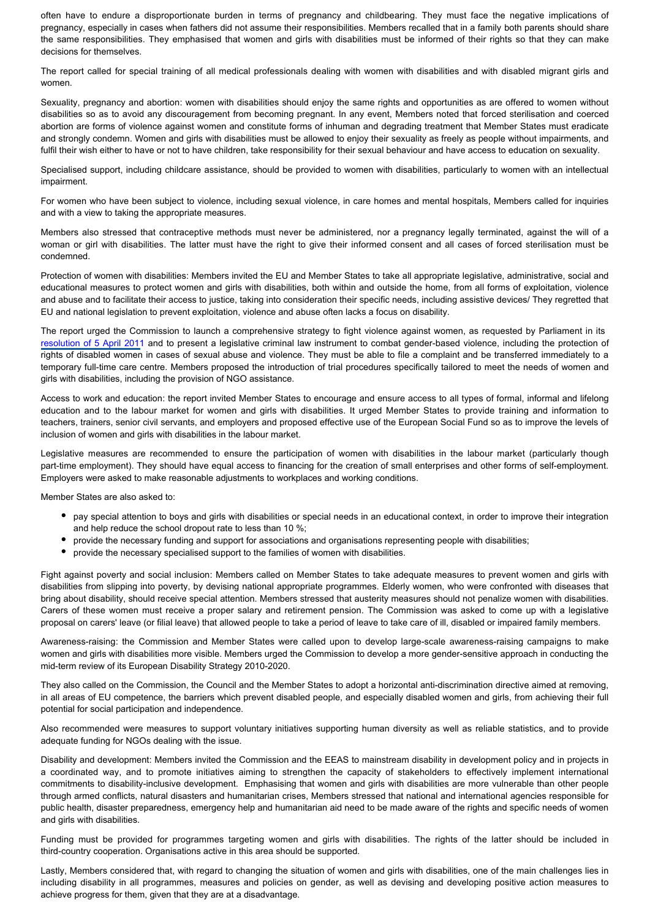often have to endure a disproportionate burden in terms of pregnancy and childbearing. They must face the negative implications of pregnancy, especially in cases when fathers did not assume their responsibilities. Members recalled that in a family both parents should share the same responsibilities. They emphasised that women and girls with disabilities must be informed of their rights so that they can make decisions for themselves.

The report called for special training of all medical professionals dealing with women with disabilities and with disabled migrant girls and women.

Sexuality, pregnancy and abortion: women with disabilities should enjoy the same rights and opportunities as are offered to women without disabilities so as to avoid any discouragement from becoming pregnant. In any event, Members noted that forced sterilisation and coerced abortion are forms of violence against women and constitute forms of inhuman and degrading treatment that Member States must eradicate and strongly condemn. Women and girls with disabilities must be allowed to enjoy their sexuality as freely as people without impairments, and fulfil their wish either to have or not to have children, take responsibility for their sexual behaviour and have access to education on sexuality.

Specialised support, including childcare assistance, should be provided to women with disabilities, particularly to women with an intellectual impairment.

For women who have been subject to violence, including sexual violence, in care homes and mental hospitals, Members called for inquiries and with a view to taking the appropriate measures.

Members also stressed that contraceptive methods must never be administered, nor a pregnancy legally terminated, against the will of a woman or girl with disabilities. The latter must have the right to give their informed consent and all cases of forced sterilisation must be condemned.

Protection of women with disabilities: Members invited the EU and Member States to take all appropriate legislative, administrative, social and educational measures to protect women and girls with disabilities, both within and outside the home, from all forms of exploitation, violence and abuse and to facilitate their access to justice, taking into consideration their specific needs, including assistive devices/ They regretted that EU and national legislation to prevent exploitation, violence and abuse often lacks a focus on disability.

The report urged the Commission to launch a comprehensive strategy to fight violence against women, as requested by Parliament in its [resolution of 5 April 2011](http://www.europarl.europa.eu/oeil/popups/ficheprocedure.do?lang=en&reference=2010/2209(INI)) and to present a legislative criminal law instrument to combat gender-based violence, including the protection of rights of disabled women in cases of sexual abuse and violence. They must be able to file a complaint and be transferred immediately to a temporary full-time care centre. Members proposed the introduction of trial procedures specifically tailored to meet the needs of women and girls with disabilities, including the provision of NGO assistance.

Access to work and education: the report invited Member States to encourage and ensure access to all types of formal, informal and lifelong education and to the labour market for women and girls with disabilities. It urged Member States to provide training and information to teachers, trainers, senior civil servants, and employers and proposed effective use of the European Social Fund so as to improve the levels of inclusion of women and girls with disabilities in the labour market.

Legislative measures are recommended to ensure the participation of women with disabilities in the labour market (particularly though part-time employment). They should have equal access to financing for the creation of small enterprises and other forms of self-employment. Employers were asked to make reasonable adjustments to workplaces and working conditions.

Member States are also asked to:

- pay special attention to boys and girls with disabilities or special needs in an educational context, in order to improve their integration and help reduce the school dropout rate to less than 10 %;
- provide the necessary funding and support for associations and organisations representing people with disabilities;
- provide the necessary specialised support to the families of women with disabilities.

Fight against poverty and social inclusion: Members called on Member States to take adequate measures to prevent women and girls with disabilities from slipping into poverty, by devising national appropriate programmes. Elderly women, who were confronted with diseases that bring about disability, should receive special attention. Members stressed that austerity measures should not penalize women with disabilities. Carers of these women must receive a proper salary and retirement pension. The Commission was asked to come up with a legislative proposal on carers' leave (or filial leave) that allowed people to take a period of leave to take care of ill, disabled or impaired family members.

Awareness-raising: the Commission and Member States were called upon to develop large-scale awareness-raising campaigns to make women and girls with disabilities more visible. Members urged the Commission to develop a more gender-sensitive approach in conducting the mid-term review of its European Disability Strategy 2010-2020.

They also called on the Commission, the Council and the Member States to adopt a horizontal anti-discrimination directive aimed at removing, in all areas of EU competence, the barriers which prevent disabled people, and especially disabled women and girls, from achieving their full potential for social participation and independence.

Also recommended were measures to support voluntary initiatives supporting human diversity as well as reliable statistics, and to provide adequate funding for NGOs dealing with the issue.

Disability and development: Members invited the Commission and the EEAS to mainstream disability in development policy and in projects in a coordinated way, and to promote initiatives aiming to strengthen the capacity of stakeholders to effectively implement international commitments to disability-inclusive development. Emphasising that women and girls with disabilities are more vulnerable than other people through armed conflicts, natural disasters and humanitarian crises, Members stressed that national and international agencies responsible for public health, disaster preparedness, emergency help and humanitarian aid need to be made aware of the rights and specific needs of women and girls with disabilities.

Funding must be provided for programmes targeting women and girls with disabilities. The rights of the latter should be included in third-country cooperation. Organisations active in this area should be supported.

Lastly, Members considered that, with regard to changing the situation of women and girls with disabilities, one of the main challenges lies in including disability in all programmes, measures and policies on gender, as well as devising and developing positive action measures to achieve progress for them, given that they are at a disadvantage.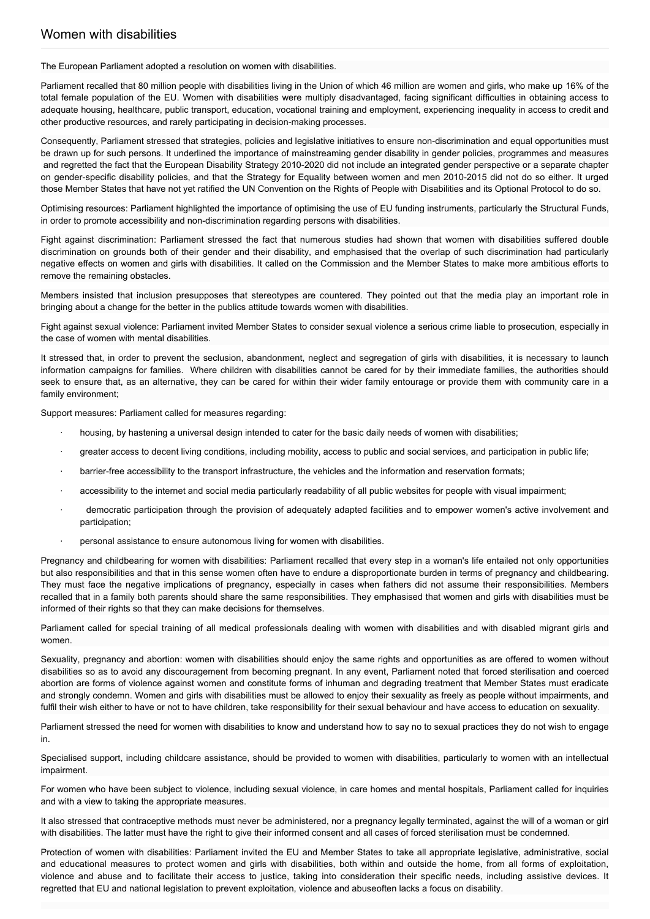The European Parliament adopted a resolution on women with disabilities.

Parliament recalled that 80 million people with disabilities living in the Union of which 46 million are women and girls, who make up 16% of the total female population of the EU. Women with disabilities were multiply disadvantaged, facing significant difficulties in obtaining access to adequate housing, healthcare, public transport, education, vocational training and employment, experiencing inequality in access to credit and other productive resources, and rarely participating in decision-making processes.

Consequently, Parliament stressed that strategies, policies and legislative initiatives to ensure non-discrimination and equal opportunities must be drawn up for such persons. It underlined the importance of mainstreaming gender disability in gender policies, programmes and measures and regretted the fact that the European Disability Strategy 2010-2020 did not include an integrated gender perspective or a separate chapter on gender-specific disability policies, and that the Strategy for Equality between women and men 2010-2015 did not do so either. It urged those Member States that have not yet ratified the UN Convention on the Rights of People with Disabilities and its Optional Protocol to do so.

Optimising resources: Parliament highlighted the importance of optimising the use of EU funding instruments, particularly the Structural Funds, in order to promote accessibility and non-discrimination regarding persons with disabilities.

Fight against discrimination: Parliament stressed the fact that numerous studies had shown that women with disabilities suffered double discrimination on grounds both of their gender and their disability, and emphasised that the overlap of such discrimination had particularly negative effects on women and girls with disabilities. It called on the Commission and the Member States to make more ambitious efforts to remove the remaining obstacles.

Members insisted that inclusion presupposes that stereotypes are countered. They pointed out that the media play an important role in bringing about a change for the better in the publics attitude towards women with disabilities.

Fight against sexual violence: Parliament invited Member States to consider sexual violence a serious crime liable to prosecution, especially in the case of women with mental disabilities.

It stressed that, in order to prevent the seclusion, abandonment, neglect and segregation of girls with disabilities, it is necessary to launch information campaigns for families. Where children with disabilities cannot be cared for by their immediate families, the authorities should seek to ensure that, as an alternative, they can be cared for within their wider family entourage or provide them with community care in a family environment;

Support measures: Parliament called for measures regarding:

- · housing, by hastening a universal design intended to cater for the basic daily needs of women with disabilities;
- · greater access to decent living conditions, including mobility, access to public and social services, and participation in public life;
- barrier-free accessibility to the transport infrastructure, the vehicles and the information and reservation formats;
- accessibility to the internet and social media particularly readability of all public websites for people with visual impairment;
- democratic participation through the provision of adequately adapted facilities and to empower women's active involvement and participation;
- personal assistance to ensure autonomous living for women with disabilities.

Pregnancy and childbearing for women with disabilities: Parliament recalled that every step in a woman's life entailed not only opportunities but also responsibilities and that in this sense women often have to endure a disproportionate burden in terms of pregnancy and childbearing. They must face the negative implications of pregnancy, especially in cases when fathers did not assume their responsibilities. Members recalled that in a family both parents should share the same responsibilities. They emphasised that women and girls with disabilities must be informed of their rights so that they can make decisions for themselves.

Parliament called for special training of all medical professionals dealing with women with disabilities and with disabled migrant girls and women.

Sexuality, pregnancy and abortion: women with disabilities should enjoy the same rights and opportunities as are offered to women without disabilities so as to avoid any discouragement from becoming pregnant. In any event, Parliament noted that forced sterilisation and coerced abortion are forms of violence against women and constitute forms of inhuman and degrading treatment that Member States must eradicate and strongly condemn. Women and girls with disabilities must be allowed to enjoy their sexuality as freely as people without impairments, and fulfil their wish either to have or not to have children, take responsibility for their sexual behaviour and have access to education on sexuality.

Parliament stressed the need for women with disabilities to know and understand how to say no to sexual practices they do not wish to engage in.

Specialised support, including childcare assistance, should be provided to women with disabilities, particularly to women with an intellectual impairment.

For women who have been subject to violence, including sexual violence, in care homes and mental hospitals, Parliament called for inquiries and with a view to taking the appropriate measures.

It also stressed that contraceptive methods must never be administered, nor a pregnancy legally terminated, against the will of a woman or girl with disabilities. The latter must have the right to give their informed consent and all cases of forced sterilisation must be condemned.

Protection of women with disabilities: Parliament invited the EU and Member States to take all appropriate legislative, administrative, social and educational measures to protect women and girls with disabilities, both within and outside the home, from all forms of exploitation, violence and abuse and to facilitate their access to justice, taking into consideration their specific needs, including assistive devices. It regretted that EU and national legislation to prevent exploitation, violence and abuseoften lacks a focus on disability.